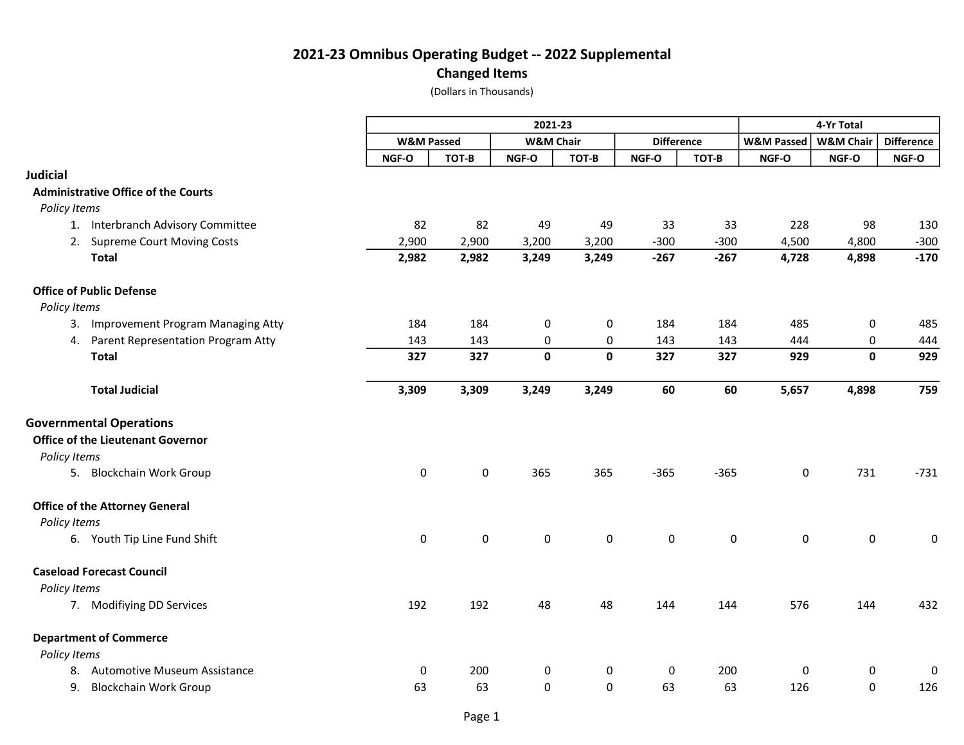Changed Items

|                                                                            | 2021-23               |             |                      |                     |                   |                     | 4-Yr Total            |                      |                   |  |
|----------------------------------------------------------------------------|-----------------------|-------------|----------------------|---------------------|-------------------|---------------------|-----------------------|----------------------|-------------------|--|
|                                                                            | <b>W&amp;M Passed</b> |             | <b>W&amp;M Chair</b> |                     | <b>Difference</b> |                     | <b>W&amp;M Passed</b> | <b>W&amp;M Chair</b> | <b>Difference</b> |  |
|                                                                            | NGF-O                 | TOT-B       | NGF-O                | TOT-B               | NGF-O             | TOT-B               | NGF-O                 | NGF-O                | NGF-O             |  |
| <b>Judicial</b>                                                            |                       |             |                      |                     |                   |                     |                       |                      |                   |  |
| <b>Administrative Office of the Courts</b>                                 |                       |             |                      |                     |                   |                     |                       |                      |                   |  |
| Policy Items                                                               |                       |             |                      |                     |                   |                     |                       |                      |                   |  |
| 1. Interbranch Advisory Committee                                          | 82                    | 82          | 49                   | 49                  | 33                | 33                  | 228                   | 98                   | 130               |  |
| 2.<br><b>Supreme Court Moving Costs</b>                                    | 2,900                 | 2,900       | 3,200                | 3,200               | $-300$            | $-300$              | 4,500                 | 4,800                | $-300$            |  |
| <b>Total</b>                                                               | 2,982                 | 2,982       | 3,249                | 3,249               | $-267$            | $-267$              | 4,728                 | 4,898                | $-170$            |  |
| <b>Office of Public Defense</b>                                            |                       |             |                      |                     |                   |                     |                       |                      |                   |  |
| Policy Items                                                               |                       |             |                      |                     |                   |                     |                       |                      |                   |  |
| 3. Improvement Program Managing Atty                                       | 184                   | 184         | $\pmb{0}$            | 0                   | 184               | 184                 | 485                   | 0                    | 485               |  |
| Parent Representation Program Atty<br>4.                                   | 143                   | 143         | $\pmb{0}$            | 0                   | 143               | 143                 | 444                   | $\pmb{0}$            | 444               |  |
| <b>Total</b>                                                               | 327                   | 327         | $\mathbf 0$          | $\mathbf{0}$        | 327               | 327                 | 929                   | $\mathbf 0$          | 929               |  |
| <b>Total Judicial</b>                                                      | 3,309                 | 3,309       | 3,249                | 3,249               | 60                | 60                  | 5,657                 | 4,898                | 759               |  |
| <b>Governmental Operations</b><br><b>Office of the Lieutenant Governor</b> |                       |             |                      |                     |                   |                     |                       |                      |                   |  |
| Policy Items                                                               |                       |             |                      |                     |                   |                     |                       |                      |                   |  |
| 5. Blockchain Work Group                                                   | $\pmb{0}$             | 0           | 365                  | 365                 | $-365$            | $-365$              | 0                     | 731                  | $-731$            |  |
| <b>Office of the Attorney General</b><br>Policy Items                      |                       |             |                      |                     |                   |                     |                       |                      |                   |  |
| 6. Youth Tip Line Fund Shift                                               | $\pmb{0}$             | $\mathsf 0$ | $\pmb{0}$            | $\mathsf{O}\xspace$ | $\pmb{0}$         | $\mathsf{O}\xspace$ | $\mathsf{O}\xspace$   | 0                    | $\mathbf 0$       |  |
| <b>Caseload Forecast Council</b>                                           |                       |             |                      |                     |                   |                     |                       |                      |                   |  |
| Policy Items                                                               |                       |             |                      |                     |                   |                     |                       |                      |                   |  |
| 7. Modifiying DD Services                                                  | 192                   | 192         | 48                   | 48                  | 144               | 144                 | 576                   | 144                  | 432               |  |
| <b>Department of Commerce</b>                                              |                       |             |                      |                     |                   |                     |                       |                      |                   |  |
| Policy Items                                                               |                       |             |                      |                     |                   |                     |                       |                      |                   |  |
| <b>Automotive Museum Assistance</b><br>8.                                  | 0                     | 200         | 0                    | 0                   | 0                 | 200                 | 0                     | 0                    | $\Omega$          |  |
| <b>Blockchain Work Group</b><br>9.                                         | 63                    | 63          | 0                    | $\mathbf 0$         | 63                | 63                  | 126                   | 0                    | 126               |  |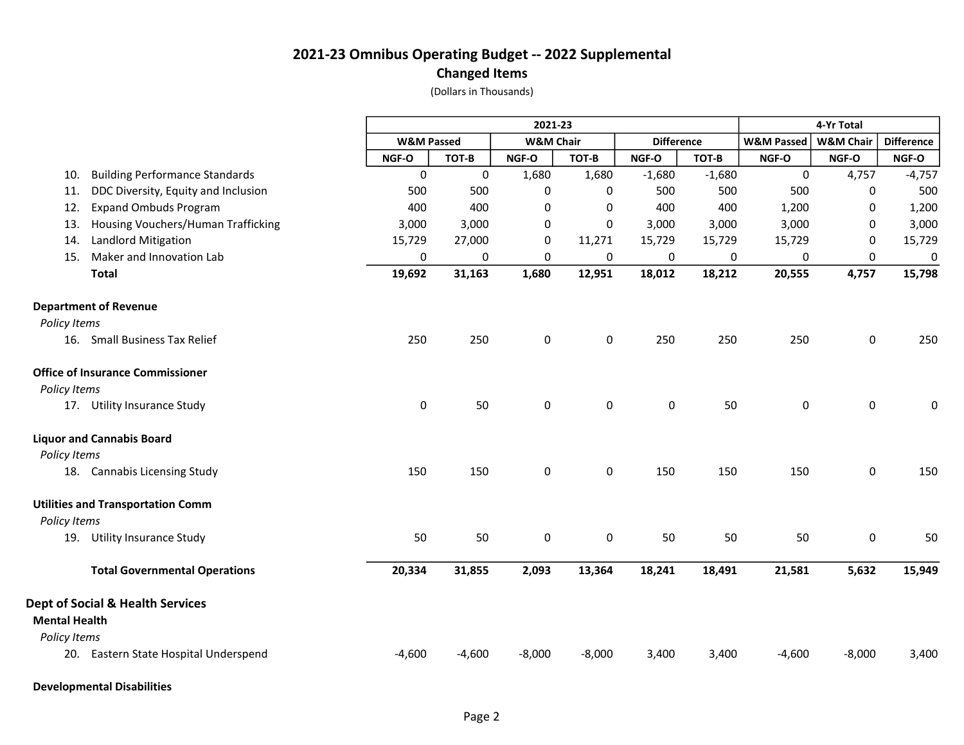#### Changed Items

|                      |                                             |                       | 2021-23  |                      |             |                   |          |                       | 4-Yr Total           |                   |  |  |
|----------------------|---------------------------------------------|-----------------------|----------|----------------------|-------------|-------------------|----------|-----------------------|----------------------|-------------------|--|--|
|                      |                                             | <b>W&amp;M Passed</b> |          | <b>W&amp;M Chair</b> |             | <b>Difference</b> |          | <b>W&amp;M Passed</b> | <b>W&amp;M Chair</b> | <b>Difference</b> |  |  |
|                      |                                             | NGF-O                 | TOT-B    | NGF-O                | TOT-B       | NGF-O             | TOT-B    | NGF-O                 | NGF-O                | NGF-O             |  |  |
| 10.                  | <b>Building Performance Standards</b>       | 0                     | 0        | 1,680                | 1,680       | $-1,680$          | $-1,680$ | 0                     | 4,757                | $-4,757$          |  |  |
| 11.                  | DDC Diversity, Equity and Inclusion         | 500                   | 500      | $\pmb{0}$            | 0           | 500               | 500      | 500                   | 0                    | 500               |  |  |
| 12.                  | <b>Expand Ombuds Program</b>                | 400                   | 400      | 0                    | 0           | 400               | 400      | 1,200                 | 0                    | 1,200             |  |  |
| 13.                  | Housing Vouchers/Human Trafficking          | 3,000                 | 3,000    | 0                    | 0           | 3,000             | 3,000    | 3,000                 | 0                    | 3,000             |  |  |
| 14.                  | Landlord Mitigation                         | 15,729                | 27,000   | 0                    | 11,271      | 15,729            | 15,729   | 15,729                | 0                    | 15,729            |  |  |
| 15.                  | Maker and Innovation Lab                    | 0                     | 0        | 0                    | 0           | 0                 | 0        | 0                     | 0                    | 0                 |  |  |
|                      | <b>Total</b>                                | 19,692                | 31,163   | 1,680                | 12,951      | 18,012            | 18,212   | 20,555                | 4,757                | 15,798            |  |  |
|                      | <b>Department of Revenue</b>                |                       |          |                      |             |                   |          |                       |                      |                   |  |  |
| Policy Items         |                                             |                       |          |                      |             |                   |          |                       |                      |                   |  |  |
|                      | 16. Small Business Tax Relief               | 250                   | 250      | $\mathbf 0$          | $\mathbf 0$ | 250               | 250      | 250                   | 0                    | 250               |  |  |
|                      | <b>Office of Insurance Commissioner</b>     |                       |          |                      |             |                   |          |                       |                      |                   |  |  |
| Policy Items         |                                             |                       |          |                      |             |                   |          |                       |                      |                   |  |  |
|                      | 17. Utility Insurance Study                 | $\pmb{0}$             | 50       | $\pmb{0}$            | $\pmb{0}$   | 0                 | 50       | 0                     | 0                    | 0                 |  |  |
|                      | <b>Liquor and Cannabis Board</b>            |                       |          |                      |             |                   |          |                       |                      |                   |  |  |
| Policy Items         |                                             |                       |          |                      |             |                   |          |                       |                      |                   |  |  |
|                      | 18. Cannabis Licensing Study                | 150                   | 150      | 0                    | 0           | 150               | 150      | 150                   | $\pmb{0}$            | 150               |  |  |
|                      | <b>Utilities and Transportation Comm</b>    |                       |          |                      |             |                   |          |                       |                      |                   |  |  |
| Policy Items         |                                             |                       |          |                      |             |                   |          |                       |                      |                   |  |  |
|                      | 19. Utility Insurance Study                 | 50                    | 50       | 0                    | 0           | 50                | 50       | 50                    | 0                    | 50                |  |  |
|                      | <b>Total Governmental Operations</b>        | 20,334                | 31,855   | 2,093                | 13,364      | 18,241            | 18,491   | 21,581                | 5,632                | 15,949            |  |  |
|                      | <b>Dept of Social &amp; Health Services</b> |                       |          |                      |             |                   |          |                       |                      |                   |  |  |
| <b>Mental Health</b> |                                             |                       |          |                      |             |                   |          |                       |                      |                   |  |  |
| Policy Items         |                                             |                       |          |                      |             |                   |          |                       |                      |                   |  |  |
|                      | 20. Eastern State Hospital Underspend       | $-4,600$              | $-4,600$ | $-8,000$             | $-8,000$    | 3,400             | 3,400    | $-4,600$              | $-8,000$             | 3,400             |  |  |
|                      | <b>Developmental Disabilities</b>           |                       |          |                      |             |                   |          |                       |                      |                   |  |  |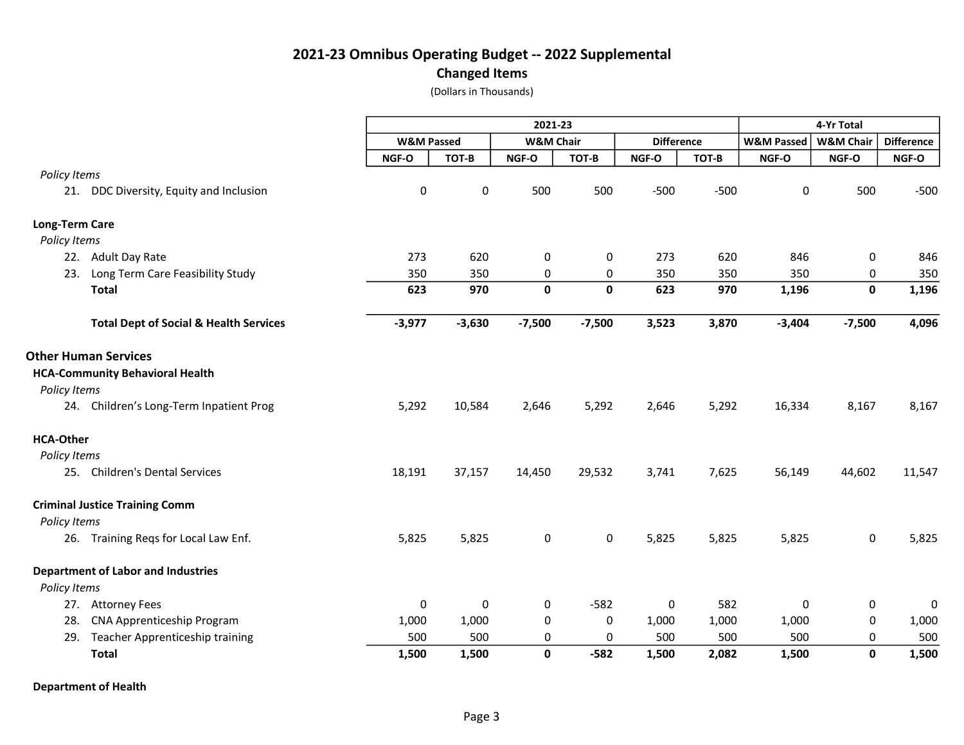#### Changed Items

(Dollars in Thousands)

|                       |                                                   |                       | 2021-23  |                      |             |                   |        |                       | 4-Yr Total           |                   |  |  |
|-----------------------|---------------------------------------------------|-----------------------|----------|----------------------|-------------|-------------------|--------|-----------------------|----------------------|-------------------|--|--|
|                       |                                                   | <b>W&amp;M Passed</b> |          | <b>W&amp;M Chair</b> |             | <b>Difference</b> |        | <b>W&amp;M Passed</b> | <b>W&amp;M Chair</b> | <b>Difference</b> |  |  |
|                       |                                                   | NGF-O                 | TOT-B    | NGF-O                | TOT-B       | NGF-O             | TOT-B  | NGF-O                 | NGF-O                | NGF-O             |  |  |
| Policy Items          |                                                   |                       |          |                      |             |                   |        |                       |                      |                   |  |  |
|                       | 21. DDC Diversity, Equity and Inclusion           | $\pmb{0}$             | 0        | 500                  | 500         | $-500$            | $-500$ | $\pmb{0}$             | 500                  | $-500$            |  |  |
| <b>Long-Term Care</b> |                                                   |                       |          |                      |             |                   |        |                       |                      |                   |  |  |
| Policy Items          |                                                   |                       |          |                      |             |                   |        |                       |                      |                   |  |  |
|                       | 22. Adult Day Rate                                | 273                   | 620      | $\pmb{0}$            | 0           | 273               | 620    | 846                   | 0                    | 846               |  |  |
| 23.                   | Long Term Care Feasibility Study                  | 350                   | 350      | 0                    | 0           | 350               | 350    | 350                   | 0                    | 350               |  |  |
|                       | <b>Total</b>                                      | 623                   | 970      | $\mathbf 0$          | $\mathbf 0$ | 623               | 970    | 1,196                 | $\mathbf 0$          | 1,196             |  |  |
|                       | <b>Total Dept of Social &amp; Health Services</b> | $-3,977$              | $-3,630$ | $-7,500$             | $-7,500$    | 3,523             | 3,870  | $-3,404$              | $-7,500$             | 4,096             |  |  |
|                       | <b>Other Human Services</b>                       |                       |          |                      |             |                   |        |                       |                      |                   |  |  |
|                       | <b>HCA-Community Behavioral Health</b>            |                       |          |                      |             |                   |        |                       |                      |                   |  |  |
| Policy Items          |                                                   |                       |          |                      |             |                   |        |                       |                      |                   |  |  |
|                       | 24. Children's Long-Term Inpatient Prog           | 5,292                 | 10,584   | 2,646                | 5,292       | 2,646             | 5,292  | 16,334                | 8,167                | 8,167             |  |  |
| <b>HCA-Other</b>      |                                                   |                       |          |                      |             |                   |        |                       |                      |                   |  |  |
| Policy Items          |                                                   |                       |          |                      |             |                   |        |                       |                      |                   |  |  |
|                       | 25. Children's Dental Services                    | 18,191                | 37,157   | 14,450               | 29,532      | 3,741             | 7,625  | 56,149                | 44,602               | 11,547            |  |  |
|                       | <b>Criminal Justice Training Comm</b>             |                       |          |                      |             |                   |        |                       |                      |                   |  |  |
| Policy Items          |                                                   |                       |          |                      |             |                   |        |                       |                      |                   |  |  |
|                       | 26. Training Reqs for Local Law Enf.              | 5,825                 | 5,825    | $\mathbf 0$          | $\mathbf 0$ | 5,825             | 5,825  | 5,825                 | 0                    | 5,825             |  |  |
|                       | <b>Department of Labor and Industries</b>         |                       |          |                      |             |                   |        |                       |                      |                   |  |  |
| Policy Items          |                                                   |                       |          |                      |             |                   |        |                       |                      |                   |  |  |
|                       | 27. Attorney Fees                                 | $\pmb{0}$             | 0        | 0                    | $-582$      | 0                 | 582    | 0                     | 0                    | 0                 |  |  |
| 28.                   | CNA Apprenticeship Program                        | 1,000                 | 1,000    | 0                    | 0           | 1,000             | 1,000  | 1,000                 | 0                    | 1,000             |  |  |
|                       | 29. Teacher Apprenticeship training               | 500                   | 500      | 0                    | 0           | 500               | 500    | 500                   | 0                    | 500               |  |  |
|                       | <b>Total</b>                                      | 1,500                 | 1,500    | $\mathbf 0$          | $-582$      | 1,500             | 2,082  | 1,500                 | $\mathbf{0}$         | 1,500             |  |  |

Department of Health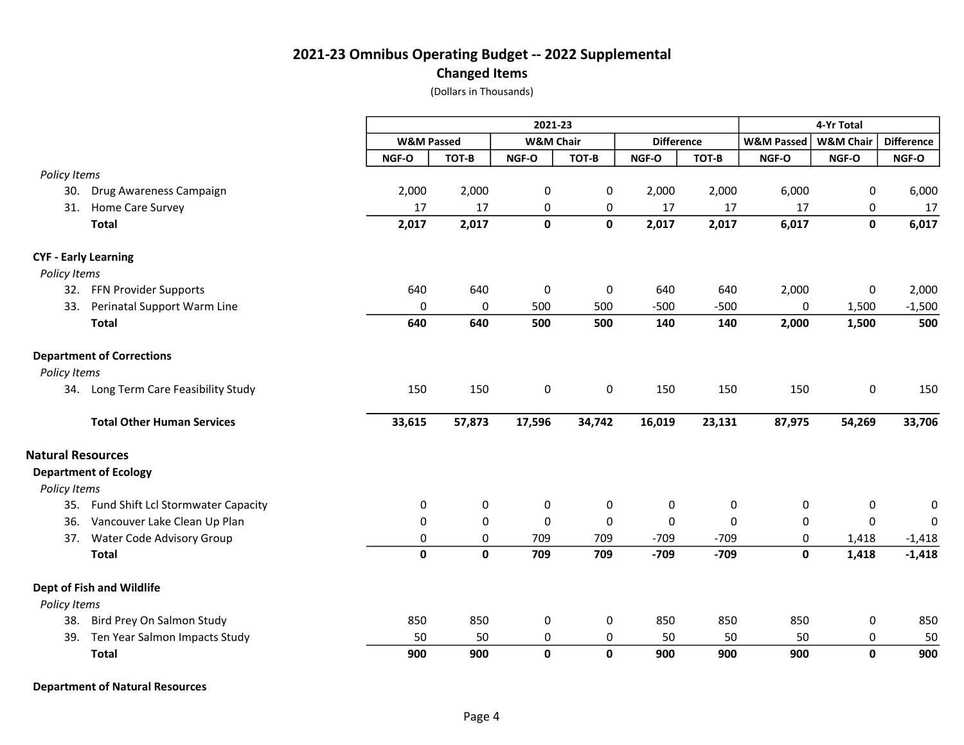#### Changed Items

(Dollars in Thousands)

|                             |                                        |                       | 2021-23     |                      |             |                   |        |                       | 4-Yr Total           |                   |  |  |
|-----------------------------|----------------------------------------|-----------------------|-------------|----------------------|-------------|-------------------|--------|-----------------------|----------------------|-------------------|--|--|
|                             |                                        | <b>W&amp;M Passed</b> |             | <b>W&amp;M Chair</b> |             | <b>Difference</b> |        | <b>W&amp;M Passed</b> | <b>W&amp;M Chair</b> | <b>Difference</b> |  |  |
|                             |                                        | NGF-O                 | TOT-B       | NGF-O                | TOT-B       | NGF-O             | TOT-B  | NGF-O                 | NGF-O                | NGF-O             |  |  |
| Policy Items                |                                        |                       |             |                      |             |                   |        |                       |                      |                   |  |  |
|                             | 30. Drug Awareness Campaign            | 2,000                 | 2,000       | 0                    | 0           | 2,000             | 2,000  | 6,000                 | 0                    | 6,000             |  |  |
| 31.                         | Home Care Survey                       | 17                    | 17          | 0                    | 0           | 17                | 17     | 17                    | 0                    | 17                |  |  |
|                             | <b>Total</b>                           | 2,017                 | 2,017       | $\mathbf 0$          | $\mathbf 0$ | 2,017             | 2,017  | 6,017                 | $\mathbf 0$          | 6,017             |  |  |
| <b>CYF - Early Learning</b> |                                        |                       |             |                      |             |                   |        |                       |                      |                   |  |  |
| Policy Items                |                                        |                       |             |                      |             |                   |        |                       |                      |                   |  |  |
|                             | 32. FFN Provider Supports              | 640                   | 640         | $\pmb{0}$            | $\pmb{0}$   | 640               | 640    | 2,000                 | $\pmb{0}$            | 2,000             |  |  |
| 33.                         | Perinatal Support Warm Line            | $\mathbf 0$           | 0           | 500                  | 500         | $-500$            | $-500$ | 0                     | 1,500                | $-1,500$          |  |  |
|                             | <b>Total</b>                           | 640                   | 640         | 500                  | 500         | 140               | 140    | 2,000                 | 1,500                | 500               |  |  |
|                             | <b>Department of Corrections</b>       |                       |             |                      |             |                   |        |                       |                      |                   |  |  |
| Policy Items                |                                        |                       |             |                      |             |                   |        |                       |                      |                   |  |  |
|                             | 34. Long Term Care Feasibility Study   | 150                   | 150         | $\mathbf 0$          | $\mathbf 0$ | 150               | 150    | 150                   | 0                    | 150               |  |  |
|                             | <b>Total Other Human Services</b>      | 33,615                | 57,873      | 17,596               | 34,742      | 16,019            | 23,131 | 87,975                | 54,269               | 33,706            |  |  |
| <b>Natural Resources</b>    |                                        |                       |             |                      |             |                   |        |                       |                      |                   |  |  |
|                             | <b>Department of Ecology</b>           |                       |             |                      |             |                   |        |                       |                      |                   |  |  |
| Policy Items                |                                        |                       |             |                      |             |                   |        |                       |                      |                   |  |  |
|                             | 35. Fund Shift Lcl Stormwater Capacity | 0                     | 0           | 0                    | 0           | 0                 | 0      | 0                     | 0                    | 0                 |  |  |
| 36.                         | Vancouver Lake Clean Up Plan           | 0                     | $\mathsf 0$ | $\pmb{0}$            | $\mathbf 0$ | 0                 | 0      | 0                     | 0                    | $\mathbf{0}$      |  |  |
| 37.                         | Water Code Advisory Group              | 0                     | 0           | 709                  | 709         | $-709$            | $-709$ | 0                     | 1,418                | $-1,418$          |  |  |
|                             | <b>Total</b>                           | $\mathbf 0$           | $\mathbf 0$ | 709                  | 709         | $-709$            | $-709$ | 0                     | 1,418                | $-1,418$          |  |  |
|                             | Dept of Fish and Wildlife              |                       |             |                      |             |                   |        |                       |                      |                   |  |  |
| Policy Items                |                                        |                       |             |                      |             |                   |        |                       |                      |                   |  |  |
|                             | 38. Bird Prey On Salmon Study          | 850                   | 850         | 0                    | 0           | 850               | 850    | 850                   | 0                    | 850               |  |  |
|                             | 39. Ten Year Salmon Impacts Study      | 50                    | 50          | 0                    | 0           | 50                | 50     | 50                    | 0                    | 50                |  |  |
|                             | <b>Total</b>                           | 900                   | 900         | $\mathbf{0}$         | $\mathbf 0$ | 900               | 900    | 900                   | $\mathbf{0}$         | 900               |  |  |

Department of Natural Resources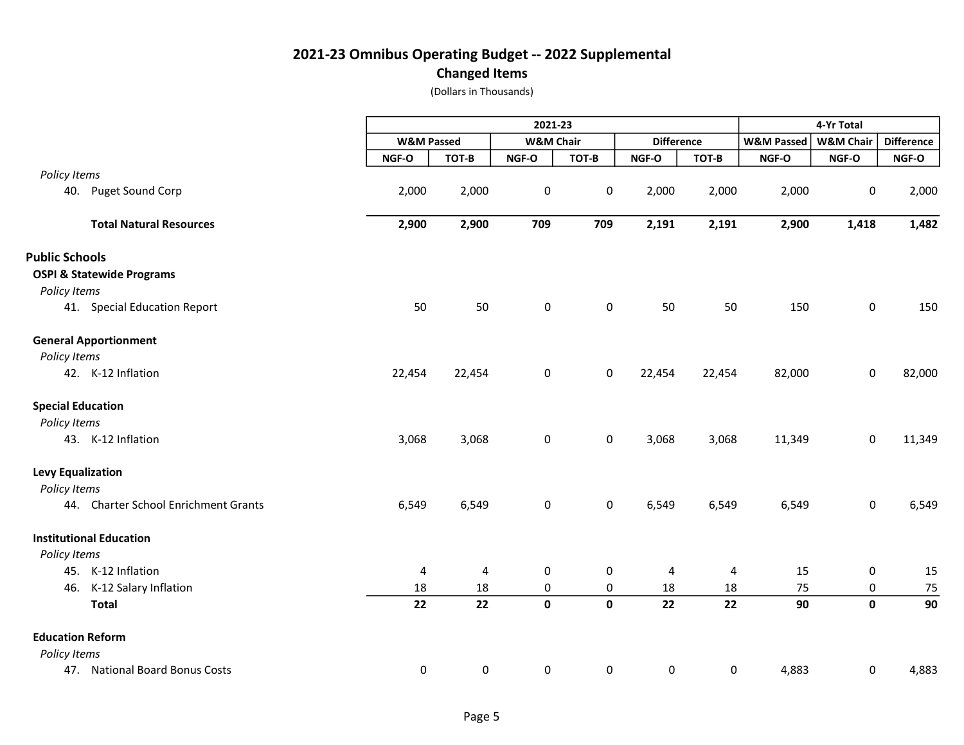Changed Items

|                                      | 2021-23               |        |                      |             |                   |        | 4-Yr Total            |                      |                   |  |
|--------------------------------------|-----------------------|--------|----------------------|-------------|-------------------|--------|-----------------------|----------------------|-------------------|--|
|                                      | <b>W&amp;M Passed</b> |        | <b>W&amp;M Chair</b> |             | <b>Difference</b> |        | <b>W&amp;M Passed</b> | <b>W&amp;M Chair</b> | <b>Difference</b> |  |
|                                      | NGF-O                 | TOT-B  | NGF-O                | TOT-B       | NGF-O             | TOT-B  | NGF-O                 | NGF-O                | NGF-O             |  |
| Policy Items                         |                       |        |                      |             |                   |        |                       |                      |                   |  |
| 40. Puget Sound Corp                 | 2,000                 | 2,000  | $\pmb{0}$            | $\pmb{0}$   | 2,000             | 2,000  | 2,000                 | 0                    | 2,000             |  |
| <b>Total Natural Resources</b>       | 2,900                 | 2,900  | 709                  | 709         | 2,191             | 2,191  | 2,900                 | 1,418                | 1,482             |  |
| <b>Public Schools</b>                |                       |        |                      |             |                   |        |                       |                      |                   |  |
| <b>OSPI &amp; Statewide Programs</b> |                       |        |                      |             |                   |        |                       |                      |                   |  |
| Policy Items                         |                       |        |                      |             |                   |        |                       |                      |                   |  |
| 41. Special Education Report         | 50                    | 50     | $\pmb{0}$            | 0           | 50                | 50     | 150                   | $\mathbf 0$          | 150               |  |
| <b>General Apportionment</b>         |                       |        |                      |             |                   |        |                       |                      |                   |  |
| Policy Items                         |                       |        |                      |             |                   |        |                       |                      |                   |  |
| 42. K-12 Inflation                   | 22,454                | 22,454 | $\pmb{0}$            | 0           | 22,454            | 22,454 | 82,000                | 0                    | 82,000            |  |
| <b>Special Education</b>             |                       |        |                      |             |                   |        |                       |                      |                   |  |
| Policy Items                         |                       |        |                      |             |                   |        |                       |                      |                   |  |
| 43. K-12 Inflation                   | 3,068                 | 3,068  | $\pmb{0}$            | 0           | 3,068             | 3,068  | 11,349                | 0                    | 11,349            |  |
| <b>Levy Equalization</b>             |                       |        |                      |             |                   |        |                       |                      |                   |  |
| Policy Items                         |                       |        |                      |             |                   |        |                       |                      |                   |  |
| 44. Charter School Enrichment Grants | 6,549                 | 6,549  | $\pmb{0}$            | $\mathsf 0$ | 6,549             | 6,549  | 6,549                 | 0                    | 6,549             |  |
| <b>Institutional Education</b>       |                       |        |                      |             |                   |        |                       |                      |                   |  |
| Policy Items                         |                       |        |                      |             |                   |        |                       |                      |                   |  |
| 45. K-12 Inflation                   | 4                     | 4      | $\pmb{0}$            | 0           | 4                 | 4      | 15                    | $\pmb{0}$            | 15                |  |
| K-12 Salary Inflation<br>46.         | 18                    | 18     | $\pmb{0}$            | $\pmb{0}$   | 18                | 18     | 75                    | 0                    | 75                |  |
| <b>Total</b>                         | 22                    | 22     | $\mathbf 0$          | $\mathbf 0$ | 22                | 22     | 90                    | $\mathbf{0}$         | 90                |  |
| <b>Education Reform</b>              |                       |        |                      |             |                   |        |                       |                      |                   |  |
| Policy Items                         |                       |        |                      |             |                   |        |                       |                      |                   |  |
| 47. National Board Bonus Costs       | 0                     | 0      | 0                    | 0           | 0                 | 0      | 4,883                 | 0                    | 4,883             |  |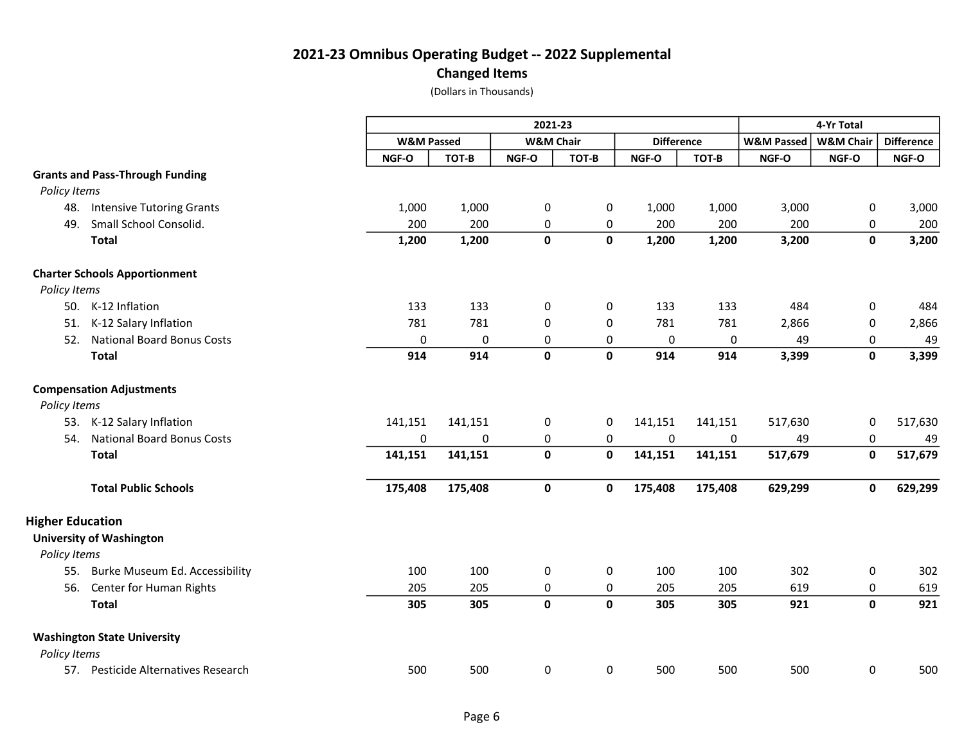#### Changed Items

|                         |                                        |                       |           | 2021-23              |             |                   |             |                       |                      |                   |
|-------------------------|----------------------------------------|-----------------------|-----------|----------------------|-------------|-------------------|-------------|-----------------------|----------------------|-------------------|
|                         |                                        | <b>W&amp;M Passed</b> |           | <b>W&amp;M Chair</b> |             | <b>Difference</b> |             | <b>W&amp;M Passed</b> | <b>W&amp;M Chair</b> | <b>Difference</b> |
|                         |                                        | NGF-O                 | TOT-B     | NGF-O                | TOT-B       | NGF-O             | TOT-B       | NGF-O                 | NGF-O                | NGF-O             |
|                         | <b>Grants and Pass-Through Funding</b> |                       |           |                      |             |                   |             |                       |                      |                   |
| Policy Items            |                                        |                       |           |                      |             |                   |             |                       |                      |                   |
| 48.                     | <b>Intensive Tutoring Grants</b>       | 1,000                 | 1,000     | 0                    | 0           | 1,000             | 1,000       | 3,000                 | 0                    | 3,000             |
| 49.                     | Small School Consolid.                 | 200                   | 200       | 0                    | 0           | 200               | 200         | 200                   | 0                    | 200               |
|                         | <b>Total</b>                           | 1,200                 | 1,200     | $\mathbf 0$          | $\mathbf 0$ | 1,200             | 1,200       | 3,200                 | $\mathbf 0$          | 3,200             |
|                         | <b>Charter Schools Apportionment</b>   |                       |           |                      |             |                   |             |                       |                      |                   |
| Policy Items            |                                        |                       |           |                      |             |                   |             |                       |                      |                   |
|                         | 50. K-12 Inflation                     | 133                   | 133       | 0                    | $\mathbf 0$ | 133               | 133         | 484                   | 0                    | 484               |
| 51.                     | K-12 Salary Inflation                  | 781                   | 781       | 0                    | 0           | 781               | 781         | 2,866                 | 0                    | 2,866             |
| 52.                     | <b>National Board Bonus Costs</b>      | 0                     | 0         | 0                    | 0           | 0                 | $\mathbf 0$ | 49                    | 0                    | 49                |
|                         | <b>Total</b>                           | 914                   | 914       | $\mathbf 0$          | $\mathbf 0$ | 914               | 914         | 3,399                 | $\mathbf 0$          | 3,399             |
|                         | <b>Compensation Adjustments</b>        |                       |           |                      |             |                   |             |                       |                      |                   |
| Policy Items            |                                        |                       |           |                      |             |                   |             |                       |                      |                   |
|                         | 53. K-12 Salary Inflation              | 141,151               | 141,151   | $\pmb{0}$            | 0           | 141,151           | 141,151     | 517,630               | 0                    | 517,630           |
| 54.                     | <b>National Board Bonus Costs</b>      | $\pmb{0}$             | $\pmb{0}$ | $\pmb{0}$            | $\pmb{0}$   | $\pmb{0}$         | $\pmb{0}$   | 49                    | 0                    | 49                |
|                         | <b>Total</b>                           | 141,151               | 141,151   | $\mathbf 0$          | $\mathbf 0$ | 141,151           | 141,151     | 517,679               | $\mathbf 0$          | 517,679           |
|                         | <b>Total Public Schools</b>            | 175,408               | 175,408   | $\mathbf 0$          | $\mathbf 0$ | 175,408           | 175,408     | 629,299               | $\mathbf 0$          | 629,299           |
| <b>Higher Education</b> |                                        |                       |           |                      |             |                   |             |                       |                      |                   |
|                         | <b>University of Washington</b>        |                       |           |                      |             |                   |             |                       |                      |                   |
| Policy Items            |                                        |                       |           |                      |             |                   |             |                       |                      |                   |
| 55.                     | Burke Museum Ed. Accessibility         | 100                   | 100       | 0                    | 0           | 100               | 100         | 302                   | 0                    | 302               |
| 56.                     | Center for Human Rights                | 205                   | 205       | 0                    | 0           | 205               | 205         | 619                   | 0                    | 619               |
|                         | <b>Total</b>                           | 305                   | 305       | $\mathbf 0$          | $\mathbf 0$ | 305               | 305         | 921                   | $\mathbf 0$          | 921               |
|                         | <b>Washington State University</b>     |                       |           |                      |             |                   |             |                       |                      |                   |
| Policy Items            |                                        |                       |           |                      |             |                   |             |                       |                      |                   |
|                         | 57. Pesticide Alternatives Research    | 500                   | 500       | 0                    | 0           | 500               | 500         | 500                   | 0                    | 500               |